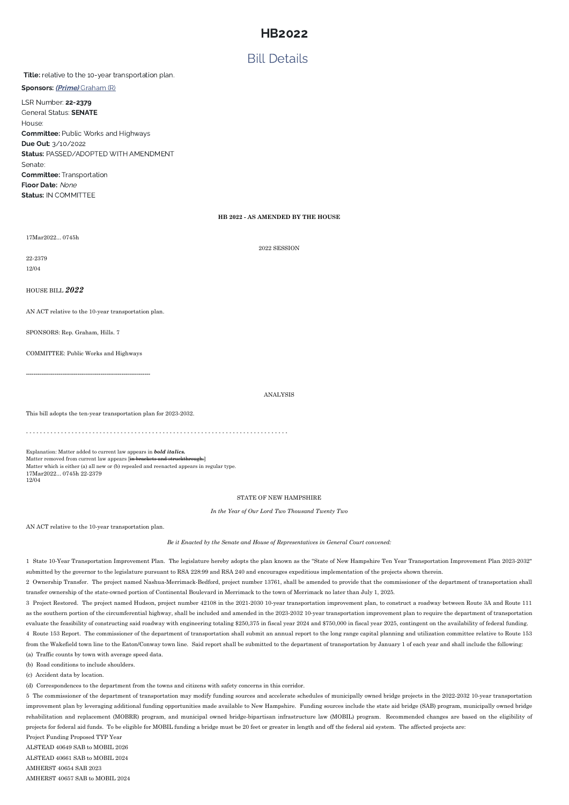## Bill Details

## Title: relative to the 10-year transportation plan.

Sponsors: (*Prime*) [Graham](http://gencourt.state.nh.us/house/members/member.aspx?pid=473) (R)

LSR Number: 22-2379 General Status: SENATE House: Committee: Public Works and Highways Due Out: 3/10/2022 Status: PASSED/ADOPTED WITH AMENDMENT Senate: Committee: Transportation Floor Date: None Status: IN COMMITTEE

### **HB 2022 - AS AMENDED BY THE HOUSE**

17Mar2022... 0745h

2022 SESSION

22-2379

12/04

HOUSE BILL *2022*

AN ACT relative to the 10-year transportation plan.

SPONSORS: Rep. Graham, Hills. 7

COMMITTEE: Public Works and Highways

-----------------------------------------------------------------

ANALYSIS

This bill adopts the ten-year transportation plan for 2023-2032.

- - - - - - - - - - - - - - - - - - - - - - - - - - - - - - - - - - - - - - - - - - - - - - - - - - - - - - - - - - - - - - - - - - - - - - - - - - -

Explanation: Matter added to current law appears in *bold italics.* Matter removed from current law appears [in brackets and struckthrough.] Matter which is either (a) all new or (b) repealed and reenacted appears in regular type. 17Mar2022... 0745h 22-2379 12/04

#### STATE OF NEW HAMPSHIRE

*In the Year of Our Lord Two Thousand Twenty Two*

AN ACT relative to the 10-year transportation plan.

*Be it Enacted by the Senate and House of Representatives in General Court convened:*

1 State 10-Year Transportation Improvement Plan. The legislature hereby adopts the plan known as the "State of New Hampshire Ten Year Transportation Improvement Plan 2023-2032" submitted by the governor to the legislature pursuant to RSA 228:99 and RSA 240 and encourages expeditious implementation of the projects shown therein.

2 Ownership Transfer. The project named Nashua-Merrimack-Bedford, project number 13761, shall be amended to provide that the commissioner of the department of transportation shall transfer ownership of the state-owned portion of Continental Boulevard in Merrimack to the town of Merrimack no later than July 1, 2025.

3 Project Restored. The project named Hudson, project number 42108 in the 2021-2030 10-year transportation improvement plan, to construct a roadway between Route 3A and Route 111

as the southern portion of the circumferential highway, shall be included and amended in the 2023-2032 10-year transportation improvement plan to require the department of transportation evaluate the feasibility of constructing said roadway with engineering totaling \$250,375 in fiscal year 2024 and \$750,000 in fiscal year 2025, contingent on the availability of federal funding. 4 Route 153 Report. The commissioner of the department of transportation shall submit an annual report to the long range capital planning and utilization committee relative to Route 153 from the Wakefield town line to the Eaton/Conway town line. Said report shall be submitted to the department of transportation by January 1 of each year and shall include the following: (a) Traffic counts by town with average speed data.

(b) Road conditions to include shoulders.

(c) Accident data by location.

(d) Correspondences to the department from the towns and citizens with safety concerns in this corridor.

5 The commissioner of the department of transportation may modify funding sources and accelerate schedules of municipally owned bridge projects in the 2022-2032 10-year transportation improvement plan by leveraging additional funding opportunities made available to New Hampshire. Funding sources include the state aid bridge (SAB) program, municipally owned bridge rehabilitation and replacement (MOBRR) program, and municipal owned bridge-bipartisan infrastructure law (MOBIL) program. Recommended changes are based on the eligibility of projects for federal aid funds. To be eligible for MOBIL funding a bridge must be 20 feet or greater in length and off the federal aid system. The affected projects are: Project Funding Proposed TYP Year ALSTEAD 40649 SAB to MOBIL 2026 ALSTEAD 40661 SAB to MOBIL 2024 AMHERST 40654 SAB 2023 AMHERST 40657 SAB to MOBIL 2024

# HB2022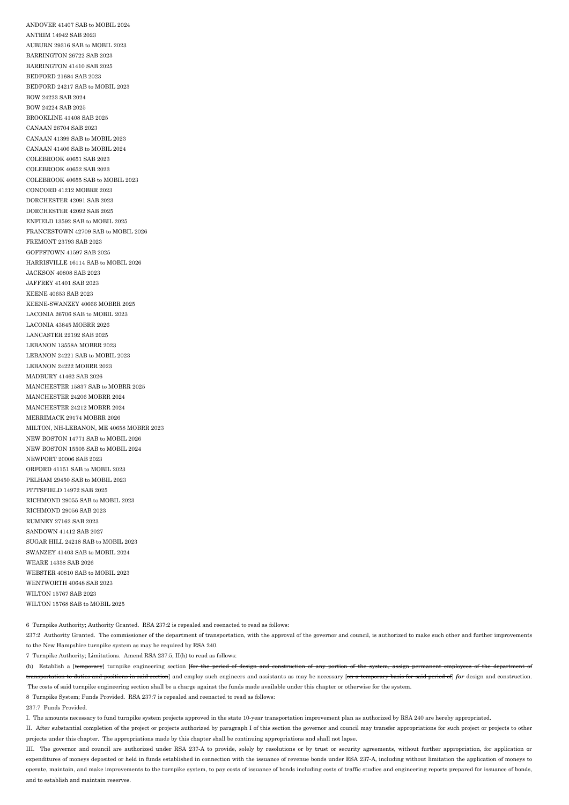ANDOVER 41407 SAB to MOBIL 2024 ANTRIM 14942 SAB 2023 AUBURN 29316 SAB to MOBIL 2023 BARRINGTON 26722 SAB 2023 BARRINGTON 41410 SAB 2025 BEDFORD 21684 SAB 2023 BEDFORD 24217 SAB to MOBIL 2023 BOW 24223 SAB 2024 BOW 24224 SAB 2025 BROOKLINE 41408 SAB 2025 CANAAN 26704 SAB 2023 CANAAN 41399 SAB to MOBIL 2023 CANAAN 41406 SAB to MOBIL 2024 COLEBROOK 40651 SAB 2023 COLEBROOK 40652 SAB 2023 COLEBROOK 40655 SAB to MOBIL 2023 CONCORD 41212 MOBRR 2023 DORCHESTER 42091 SAB 2023 DORCHESTER 42092 SAB 2025 ENFIELD 13592 SAB to MOBIL 2025 FRANCESTOWN 42709 SAB to MOBIL 2026 FREMONT 23793 SAB 2023 GOFFSTOWN 41597 SAB 2025 HARRISVILLE 16114 SAB to MOBIL 2026 JACKSON 40808 SAB 2023 JAFFREY 41401 SAB 2023 KEENE 40653 SAB 2023 KEENE-SWANZEY 40666 MOBRR 2025 LACONIA 26706 SAB to MOBIL 2023 LACONIA 43845 MOBRR 2026 LANCASTER 22192 SAB 2025 LEBANON 13558A MOBRR 2023 LEBANON 24221 SAB to MOBIL 2023 LEBANON 24222 MOBRR 2023 MADBURY 41462 SAB 2026 MANCHESTER 15837 SAB to MOBRR 2025 MANCHESTER 24206 MOBRR 2024 MANCHESTER 24212 MOBRR 2024 MERRIMACK 29174 MOBRR 2026 MILTON, NH-LEBANON, ME 40658 MOBRR 2023 NEW BOSTON 14771 SAB to MOBIL 2026 NEW BOSTON 15505 SAB to MOBIL 2024 NEWPORT 20006 SAB 2023 ORFORD 41151 SAB to MOBIL 2023 PELHAM 29450 SAB to MOBIL 2023 PITTSFIELD 14972 SAB 2025 RICHMOND 29055 SAB to MOBIL 2023 RICHMOND 29056 SAB 2023 RUMNEY 27162 SAB 2023 SANDOWN 41412 SAB 2027 SUGAR HILL 24218 SAB to MOBIL 2023 SWANZEY 41403 SAB to MOBIL 2024 WEARE 14338 SAB 2026 WEBSTER 40810 SAB to MOBIL 2023 WENTWORTH 40648 SAB 2023 WILTON 15767 SAB 2023 WILTON 15768 SAB to MOBIL 2025

237:2 Authority Granted. The commissioner of the department of transportation, with the approval of the governor and council, is authorized to make such other and further improvements to the New Hampshire turnpike system as may be required by RSA 240.

(h) Establish a [temporary] turnpike engineering section [for the period of design and construction of any portion of the system, assign permanent employees of the department of transportation to duties and positions in said section] and employ such engineers and assistants as may be necessary [on a temporary basis for said period of] *for* design and construction. The costs of said turnpike engineering section shall be a charge against the funds made available under this chapter or otherwise for the system. 8 Turnpike System; Funds Provided. RSA 237:7 is repealed and reenacted to read as follows:

6 Turnpike Authority; Authority Granted. RSA 237:2 is repealed and reenacted to read as follows:

7 Turnpike Authority; Limitations. Amend RSA 237:5, II(h) to read as follows:

237:7 Funds Provided.

I. The amounts necessary to fund turnpike system projects approved in the state 10-year transportation improvement plan as authorized by RSA 240 are hereby appropriated.

II. After substantial completion of the project or projects authorized by paragraph I of this section the governor and council may transfer appropriations for such project or projects to other projects under this chapter. The appropriations made by this chapter shall be continuing appropriations and shall not lapse.

III. The governor and council are authorized under RSA 237-A to provide, solely by resolutions or by trust or security agreements, without further appropriation, for application or expenditures of moneys deposited or held in funds established in connection with the issuance of revenue bonds under RSA 237-A, including without limitation the application of moneys to operate, maintain, and make improvements to the turnpike system, to pay costs of issuance of bonds including costs of traffic studies and engineering reports prepared for issuance of bonds, and to establish and maintain reserves.